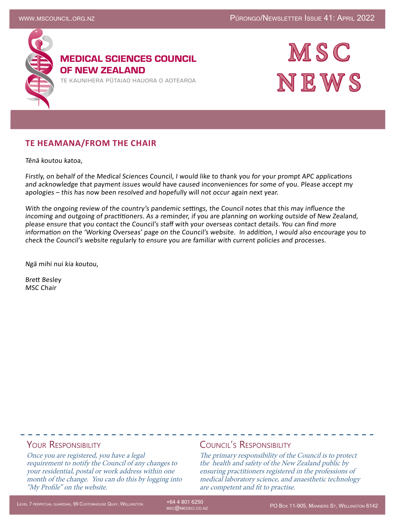

MEDICAL SCIENCES COUNCIL OF NEW ZEALAND

TE KAUNIHERA PUTAIAO HAUORA O AOTEAROA



### **TE HEAMANA/FROM THE CHAIR**

Tēnā koutou katoa,

Firstly, on behalf of the Medical Sciences Council, I would like to thank you for your prompt APC applications and acknowledge that payment issues would have caused inconveniences for some of you. Please accept my apologies – this has now been resolved and hopefully will not occur again next year.

With the ongoing review of the country's pandemic settings, the Council notes that this may influence the incoming and outgoing of practitioners. As a reminder, if you are planning on working outside of New Zealand, please ensure that you contact the Council's staff with your overseas contact details. You can find more information on the 'Working Overseas' page on the Council's website. In addition, I would also encourage you to check the Council's website regularly to ensure you are familiar with current policies and processes.

Ngā mihi nui kia koutou,

Brett Besley MSC Chair

### YOUR RESPONSIBILITY

Once you are registered, you have a legal requirement to notify the Council of any changes to your residential, postal or work address within one month of the change. You can do this by logging into "My Profile" on the website.

#### Council's Responsibility

The primary responsibility of the Council is to protect the health and safety of the New Zealand public by ensuring practitioners registered in the professions of medical laboratory science, and anaesthetic technology are competent and fit to practise.